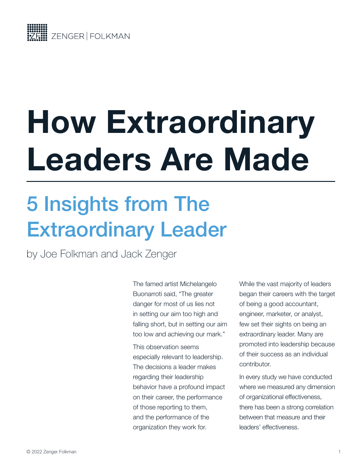

# **How Extraordinary Leaders Are Made**

# 5 Insights from The Extraordinary Leader

[by Joe Folkman](https://zengerfolkman.com/our-story/) and Jack Zenger

The famed artist Michelangelo Buonarroti said, "The greater danger for most of us lies not in setting our aim too high and falling short, but in setting our aim too low and achieving our mark."

This observation seems especially relevant to leadership. The decisions a leader makes regarding their leadership behavior have a profound impact on their career, the performance of those reporting to them, and the performance of the organization they work for.

While the vast majority of leaders began their careers with the target of being a good accountant, engineer, marketer, or analyst, few set their sights on being an extraordinary leader. Many are promoted into leadership because of their success as an individual contributor.

In every study we have conducted where we measured any dimension of organizational effectiveness, there has been a strong correlation between that measure and their leaders' effectiveness.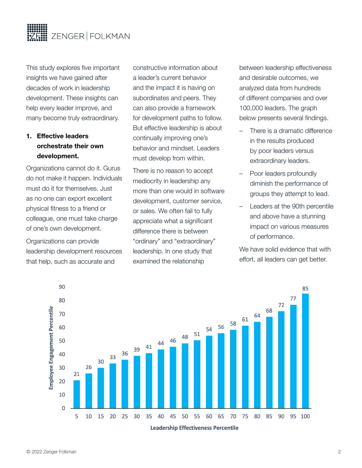

This study explores five important insights we have gained after decades of work in leadership development. These insights can help every leader improve, and many become truly extraordinary.

## **1. Effective leaders orchestrate their own development.**

Organizations cannot do it. Gurus do not make it happen. Individuals must do it for themselves. Just as no one can export excellent physical fitness to a friend or colleague, one must take charge of one's own development.

Organizations can provide leadership development resources that help, such as accurate and

constructive information about a leader's current behavior and the impact it is having on subordinates and peers. They can also provide a framework for development paths to follow. But effective leadership is about continually improving one's behavior and mindset. Leaders must develop from within.

There is no reason to accept mediocrity in leadership any more than one would in software development, customer service, or sales. We often fail to fully appreciate what a significant difference there is between "ordinary" and "extraordinary" leadership. In one study that examined the relationship

between leadership effectiveness and desirable outcomes, we analyzed data from hundreds of different companies and over 100,000 leaders. The graph below presents several findings.

- There is a dramatic difference in the results produced by poor leaders versus extraordinary leaders.
- Poor leaders profoundly diminish the performance of groups they attempt to lead.
- Leaders at the 90th percentile and above have a stunning impact on various measures of performance.

We have solid evidence that with effort, all leaders can get better.

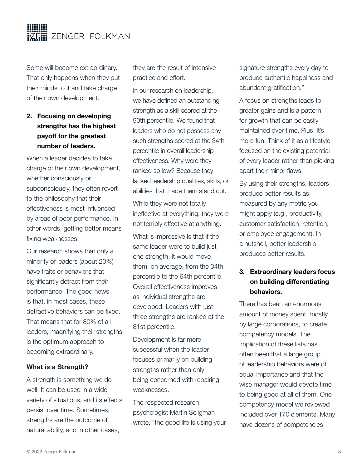

Some will become extraordinary. That only happens when they put their minds to it and take charge of their own development.

# **2. Focusing on developing strengths has the highest payoff for the greatest number of leaders.**

When a leader decides to take charge of their own development, whether consciously or subconsciously, they often revert to the philosophy that their effectiveness is most influenced by areas of poor performance. In other words, getting better means fixing weaknesses.

Our research shows that only a minority of leaders (about 20%) have traits or behaviors that significantly detract from their performance. The good news is that, in most cases, these detractive behaviors can be fixed. That means that for 80% of all leaders, magnifying their strengths is the optimum approach to becoming extraordinary.

#### **What is a Strength?**

A strength is something we do well. It can be used in a wide variety of situations, and its effects persist over time. Sometimes, strengths are the outcome of natural ability, and in other cases,

they are the result of intensive practice and effort.

In our research on leadership, we have defined an outstanding strength as a skill scored at the 90th percentile. We found that leaders who do not possess any such strengths scored at the 34th percentile in overall leadership effectiveness. Why were they ranked so low? Because they lacked leadership qualities, skills, or abilities that made them stand out.

While they were not totally ineffective at everything, they were not terribly effective at anything.

What is impressive is that if the same leader were to build just one strength, it would move them, on average, from the 34th percentile to the 64th percentile. Overall effectiveness improves as individual strengths are developed. Leaders with just three strengths are ranked at the 81st percentile.

Development is far more successful when the leader focuses primarily on building strengths rather than only being concerned with repairing weaknesses.

The respected research psychologist Martin Seligman wrote, "the good life is using your

signature strengths every day to produce authentic happiness and abundant gratification."

A focus on strengths leads to greater gains and is a pattern for growth that can be easily maintained over time. Plus, it's more fun. Think of it as a lifestyle focused on the existing potential of every leader rather than picking apart their minor flaws.

By using their strengths, leaders produce better results as measured by any metric you might apply (e.g., productivity, customer satisfaction, retention, or employee engagement). In a nutshell, better leadership produces better results.

## **3. Extraordinary leaders focus on building differentiating behaviors.**

There has been an enormous amount of money spent, mostly by large corporations, to create competency models. The implication of these lists has often been that a large group of leadership behaviors were of equal importance and that the wise manager would devote time to being good at all of them. One competency model we reviewed included over 170 elements. Many have dozens of competencies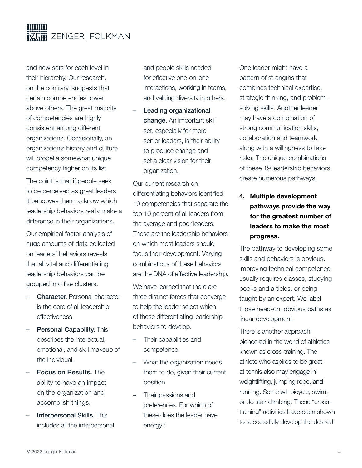

and new sets for each level in their hierarchy. Our research, on the contrary, suggests that certain competencies tower above others. The great majority of competencies are highly consistent among different organizations. Occasionally, an organization's history and culture will propel a somewhat unique competency higher on its list.

The point is that if people seek to be perceived as great leaders, it behooves them to know which leadership behaviors really make a difference in their organizations.

Our empirical factor analysis of huge amounts of data collected on leaders' behaviors reveals that all vital and differentiating leadership behaviors can be grouped into five clusters.

- **Character.** Personal character is the core of all leadership effectiveness.
- Personal Capability. This describes the intellectual, emotional, and skill makeup of the individual.
- Focus on Results. The ability to have an impact on the organization and accomplish things.
- Interpersonal Skills. This includes all the interpersonal

and people skills needed for effective one-on-one interactions, working in teams, and valuing diversity in others.

Leading organizational change. An important skill set, especially for more senior leaders, is their ability to produce change and set a clear vision for their organization.

Our current research on differentiating behaviors identified 19 competencies that separate the top 10 percent of all leaders from the average and poor leaders. These are the leadership behaviors on which most leaders should focus their development. Varying combinations of these behaviors are the DNA of effective leadership.

We have learned that there are three distinct forces that converge to help the leader select which of these differentiating leadership behaviors to develop.

- Their capabilities and competence
- What the organization needs them to do, given their current position
- Their passions and preferences. For which of these does the leader have energy?

One leader might have a pattern of strengths that combines technical expertise, strategic thinking, and problemsolving skills. Another leader may have a combination of strong communication skills, collaboration and teamwork, along with a willingness to take risks. The unique combinations of these 19 leadership behaviors create numerous pathways.

**4. Multiple development pathways provide the way for the greatest number of leaders to make the most progress.** 

The pathway to developing some skills and behaviors is obvious. Improving technical competence usually requires classes, studying books and articles, or being taught by an expert. We label those head-on, obvious paths as linear development.

There is another approach pioneered in the world of athletics known as cross-training. The athlete who aspires to be great at tennis also may engage in weightlifting, jumping rope, and running. Some will bicycle, swim, or do stair climbing. These "crosstraining" activities have been shown to successfully develop the desired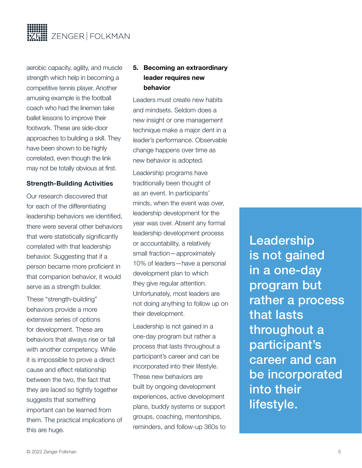

aerobic capacity, agility, and muscle strength which help in becoming a competitive tennis player. Another amusing example is the football coach who had the linemen take ballet lessons to improve their footwork. These are side-door approaches to building a skill. They have been shown to be highly correlated, even though the link may not be totally obvious at first.

#### **Strength-Building Activities**

Our research discovered that for each of the differentiating leadership behaviors we identified, there were several other behaviors that were statistically significantly correlated with that leadership behavior. Suggesting that if a person became more proficient in that companion behavior, it would serve as a strength builder.

These "strength-building" behaviors provide a more extensive series of options for development. These are behaviors that always rise or fall with another competency. While it is impossible to prove a direct cause and effect relationship between the two, the fact that they are laced so tightly together suggests that something important can be learned from them. The practical implications of this are huge.

### **5. Becoming an extraordinary leader requires new behavior**

Leaders must create new habits and mindsets. Seldom does a new insight or one management technique make a major dent in a leader's performance. Observable change happens over time as new behavior is adopted.

Leadership programs have traditionally been thought of as an event. In participants' minds, when the event was over, leadership development for the year was over. Absent any formal leadership development process or accountability, a relatively small fraction—approximately 10% of leaders—have a personal development plan to which they give regular attention. Unfortunately, most leaders are not doing anything to follow up on their development.

Leadership is not gained in a one-day program but rather a process that lasts throughout a participant's career and can be incorporated into their lifestyle. These new behaviors are built by ongoing development experiences, active development plans, buddy systems or support groups, coaching, mentorships, reminders, and follow-up 360s to Leadership is not gained in a one-day program but rather a process that lasts throughout a participant's career and can be incorporated into their lifestyle.